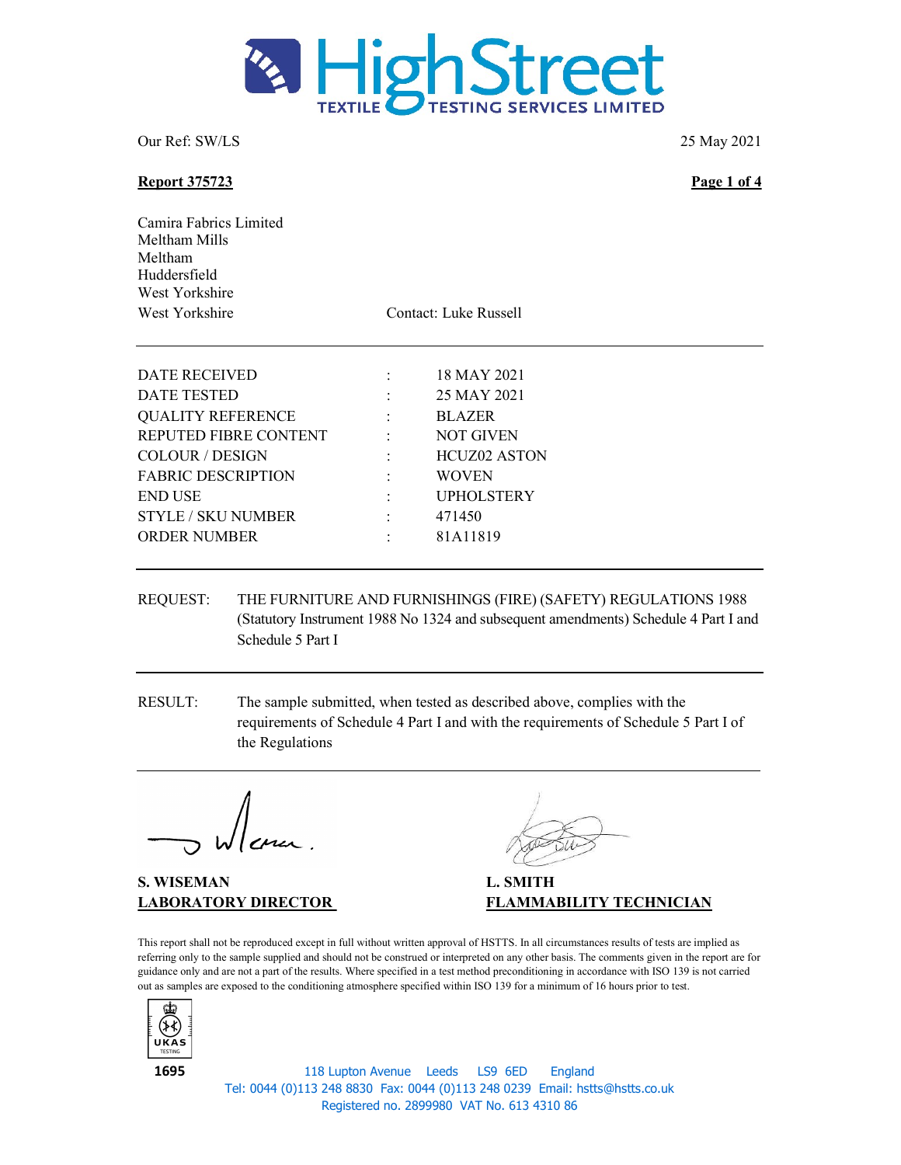

### Report 375723 Page 1 of 4

Camira Fabrics Limited Meltham Mills Meltham Huddersfield West Yorkshire West Yorkshire Contact: Luke Russell

| DATE RECEIVED             |                | 18 MAY 2021         |
|---------------------------|----------------|---------------------|
| DATE TESTED               |                | 25 MAY 2021         |
| <b>QUALITY REFERENCE</b>  | $\ddot{\cdot}$ | <b>BLAZER</b>       |
| REPUTED FIBRE CONTENT     |                | <b>NOT GIVEN</b>    |
| <b>COLOUR / DESIGN</b>    |                | <b>HCUZ02 ASTON</b> |
| <b>FABRIC DESCRIPTION</b> | $\ddot{\cdot}$ | <b>WOVEN</b>        |
| <b>END USE</b>            |                | <b>UPHOLSTERY</b>   |
| <b>STYLE / SKU NUMBER</b> | $\ddot{\cdot}$ | 471450              |
| <b>ORDER NUMBER</b>       |                | 81A11819            |
|                           |                |                     |

- REQUEST: THE FURNITURE AND FURNISHINGS (FIRE) (SAFETY) REGULATIONS 1988 (Statutory Instrument 1988 No 1324 and subsequent amendments) Schedule 4 Part I and Schedule 5 Part I
- RESULT: The sample submitted, when tested as described above, complies with the requirements of Schedule 4 Part I and with the requirements of Schedule 5 Part I of the Regulations

S. WISEMAN L. SMITH

LABORATORY DIRECTOR FLAMMABILITY TECHNICIAN

This report shall not be reproduced except in full without written approval of HSTTS. In all circumstances results of tests are implied as referring only to the sample supplied and should not be construed or interpreted on any other basis. The comments given in the report are for guidance only and are not a part of the results. Where specified in a test method preconditioning in accordance with ISO 139 is not carried out as samples are exposed to the conditioning atmosphere specified within ISO 139 for a minimum of 16 hours prior to test.



118 Lupton Avenue Leeds LS9 6ED England Tel: 0044 (0)113 248 8830 Fax: 0044 (0)113 248 0239 Email: hstts@hstts.co.uk Registered no. 2899980 VAT No. 613 4310 86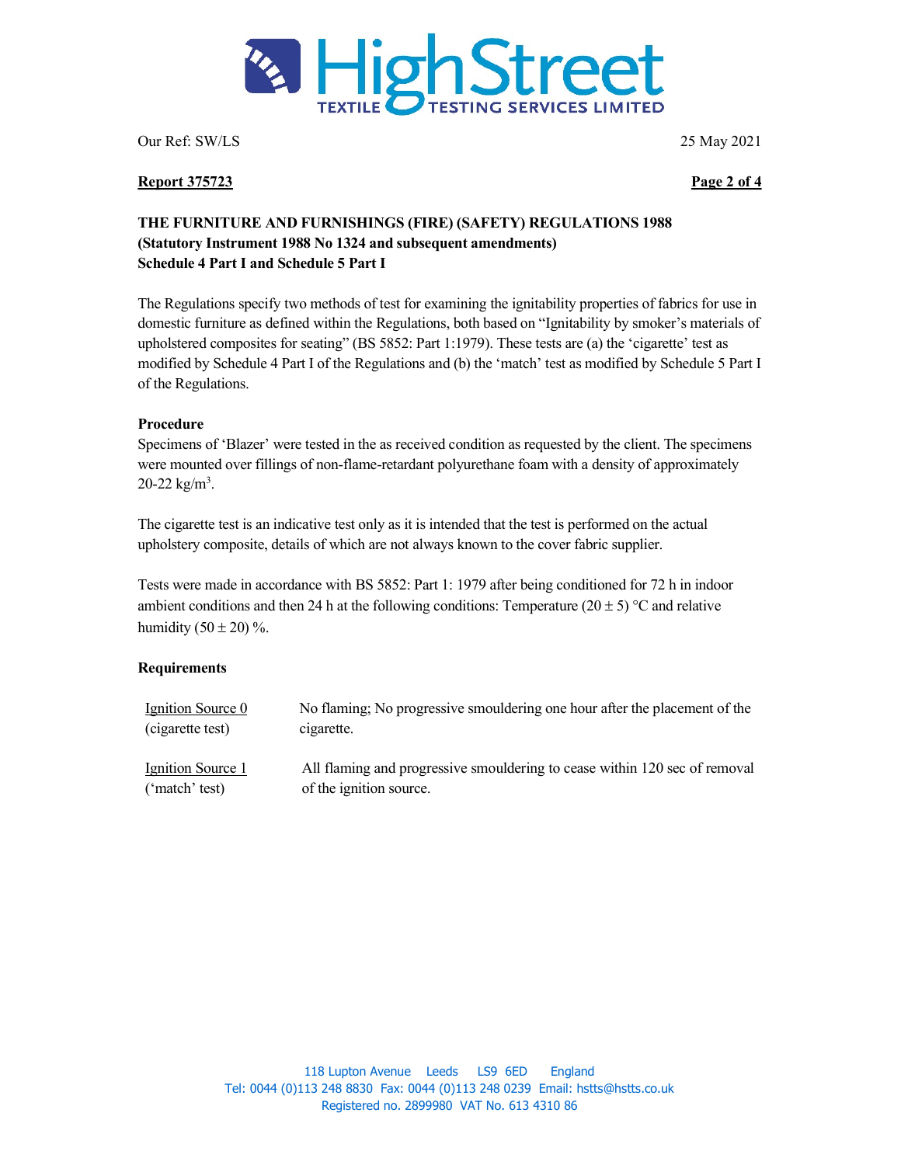

#### Report 375723 Page 2 of 4

# THE FURNITURE AND FURNISHINGS (FIRE) (SAFETY) REGULATIONS 1988 (Statutory Instrument 1988 No 1324 and subsequent amendments) Schedule 4 Part I and Schedule 5 Part I

The Regulations specify two methods of test for examining the ignitability properties of fabrics for use in domestic furniture as defined within the Regulations, both based on "Ignitability by smoker's materials of upholstered composites for seating" (BS 5852: Part 1:1979). These tests are (a) the 'cigarette' test as modified by Schedule 4 Part I of the Regulations and (b) the 'match' test as modified by Schedule 5 Part I of the Regulations.

### Procedure

Specimens of 'Blazer' were tested in the as received condition as requested by the client. The specimens were mounted over fillings of non-flame-retardant polyurethane foam with a density of approximately 20-22  $\text{kg/m}^3$ .

The cigarette test is an indicative test only as it is intended that the test is performed on the actual upholstery composite, details of which are not always known to the cover fabric supplier.

Tests were made in accordance with BS 5852: Part 1: 1979 after being conditioned for 72 h in indoor ambient conditions and then 24 h at the following conditions: Temperature (20  $\pm$  5) °C and relative humidity  $(50 \pm 20)$ %.

## **Requirements**

| Ignition Source 0 | No flaming; No progressive smouldering one hour after the placement of the |
|-------------------|----------------------------------------------------------------------------|
| (cigarette test)  | cigarette.                                                                 |
| Ignition Source 1 | All flaming and progressive smouldering to cease within 120 sec of removal |
| ('match' test)    | of the ignition source.                                                    |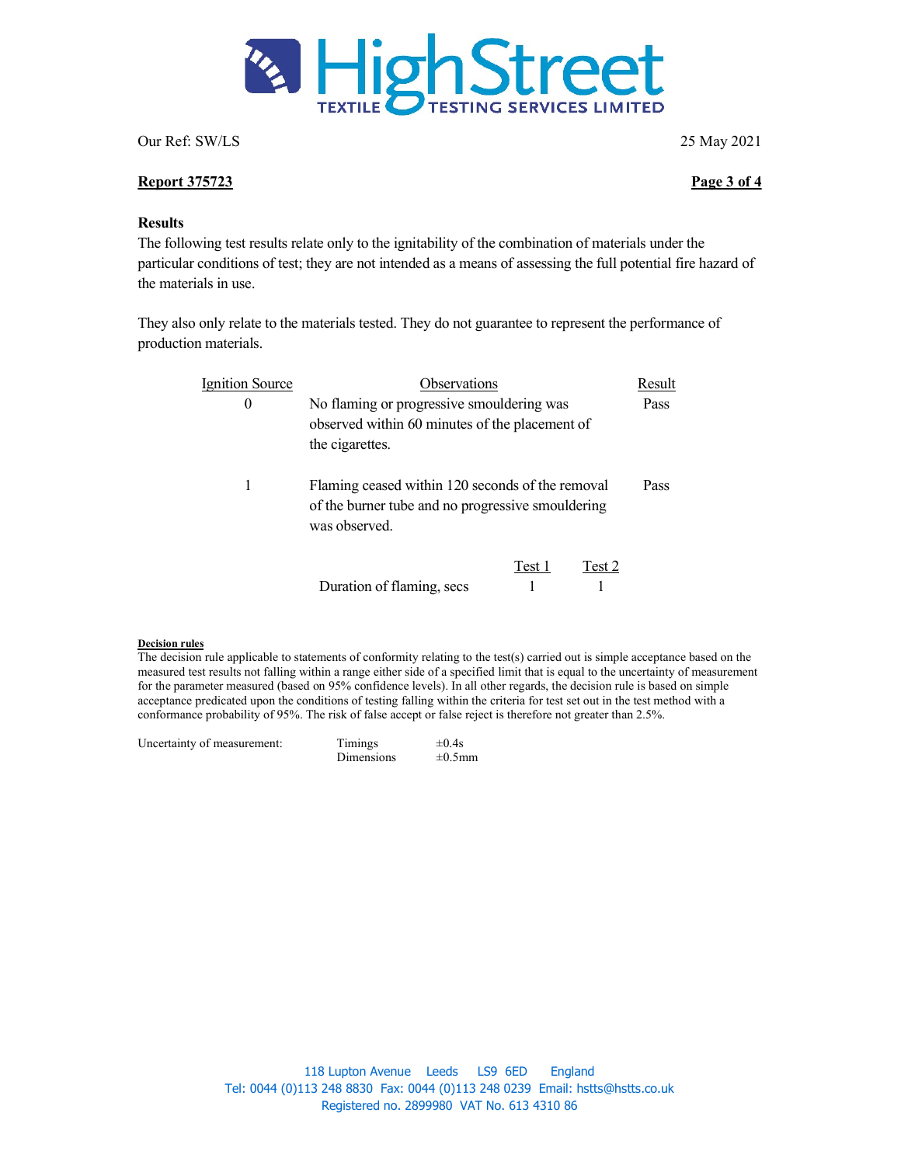

### Report 375723 Page 3 of 4

### **Results**

The following test results relate only to the ignitability of the combination of materials under the particular conditions of test; they are not intended as a means of assessing the full potential fire hazard of the materials in use.

They also only relate to the materials tested. They do not guarantee to represent the performance of production materials.

| <b>Ignition Source</b> | Observations                                                                                                           |        |        | Result |
|------------------------|------------------------------------------------------------------------------------------------------------------------|--------|--------|--------|
| $\theta$               | No flaming or progressive smouldering was<br>observed within 60 minutes of the placement of<br>the cigarettes.         |        |        | Pass   |
| 1                      | Flaming ceased within 120 seconds of the removal<br>of the burner tube and no progressive smouldering<br>was observed. |        |        | Pass   |
|                        | Duration of flaming, secs                                                                                              | Test 1 | Test 2 |        |

#### Decision rules

The decision rule applicable to statements of conformity relating to the test(s) carried out is simple acceptance based on the measured test results not falling within a range either side of a specified limit that is equal to the uncertainty of measurement for the parameter measured (based on 95% confidence levels). In all other regards, the decision rule is based on simple acceptance predicated upon the conditions of testing falling within the criteria for test set out in the test method with a conformance probability of 95%. The risk of false accept or false reject is therefore not greater than 2.5%.

| Uncertainty of measurement: | Timings    | $\pm 0.4$ s  |
|-----------------------------|------------|--------------|
|                             | Dimensions | $\pm 0.5$ mm |